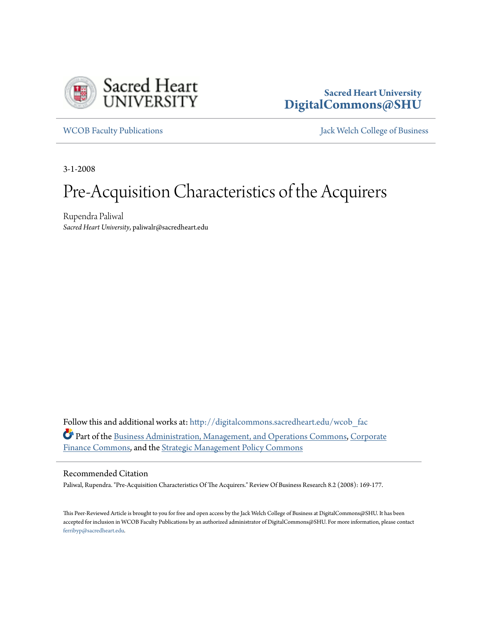

## **Sacred Heart University [DigitalCommons@SHU](http://digitalcommons.sacredheart.edu?utm_source=digitalcommons.sacredheart.edu%2Fwcob_fac%2F140&utm_medium=PDF&utm_campaign=PDFCoverPages)**

[WCOB Faculty Publications](http://digitalcommons.sacredheart.edu/wcob_fac?utm_source=digitalcommons.sacredheart.edu%2Fwcob_fac%2F140&utm_medium=PDF&utm_campaign=PDFCoverPages) [Jack Welch College of Business](http://digitalcommons.sacredheart.edu/wcob?utm_source=digitalcommons.sacredheart.edu%2Fwcob_fac%2F140&utm_medium=PDF&utm_campaign=PDFCoverPages)

3-1-2008

# Pre-Acquisition Characteristics of the Acquirers

Rupendra Paliwal *Sacred Heart University*, paliwalr@sacredheart.edu

Follow this and additional works at: [http://digitalcommons.sacredheart.edu/wcob\\_fac](http://digitalcommons.sacredheart.edu/wcob_fac?utm_source=digitalcommons.sacredheart.edu%2Fwcob_fac%2F140&utm_medium=PDF&utm_campaign=PDFCoverPages) Part of the [Business Administration, Management, and Operations Commons](http://network.bepress.com/hgg/discipline/623?utm_source=digitalcommons.sacredheart.edu%2Fwcob_fac%2F140&utm_medium=PDF&utm_campaign=PDFCoverPages), [Corporate](http://network.bepress.com/hgg/discipline/629?utm_source=digitalcommons.sacredheart.edu%2Fwcob_fac%2F140&utm_medium=PDF&utm_campaign=PDFCoverPages) [Finance Commons,](http://network.bepress.com/hgg/discipline/629?utm_source=digitalcommons.sacredheart.edu%2Fwcob_fac%2F140&utm_medium=PDF&utm_campaign=PDFCoverPages) and the [Strategic Management Policy Commons](http://network.bepress.com/hgg/discipline/642?utm_source=digitalcommons.sacredheart.edu%2Fwcob_fac%2F140&utm_medium=PDF&utm_campaign=PDFCoverPages)

#### Recommended Citation

Paliwal, Rupendra. "Pre-Acquisition Characteristics Of The Acquirers." Review Of Business Research 8.2 (2008): 169-177.

This Peer-Reviewed Article is brought to you for free and open access by the Jack Welch College of Business at DigitalCommons@SHU. It has been accepted for inclusion in WCOB Faculty Publications by an authorized administrator of DigitalCommons@SHU. For more information, please contact [ferribyp@sacredheart.edu](mailto:ferribyp@sacredheart.edu).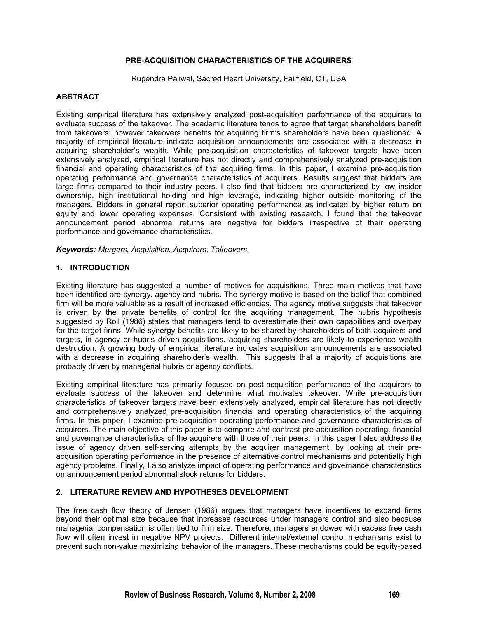#### **PRE-ACQUISITION CHARACTERISTICS OF THE ACQUIRERS**

Rupendra Paliwal, Sacred Heart University, Fairfield, CT, USA

#### **ABSTRACT**

Existing empirical literature has extensively analyzed post-acquisition performance of the acquirers to evaluate success of the takeover. The academic literature tends to agree that target shareholders benefit from takeovers; however takeovers benefits for acquiring firm's shareholders have been questioned. A majority of empirical literature indicate acquisition announcements are associated with a decrease in acquiring shareholder's wealth. While pre-acquisition characteristics of takeover targets have been extensively analyzed, empirical literature has not directly and comprehensively analyzed pre-acquisition financial and operating characteristics of the acquiring firms. In this paper, I examine pre-acquisition operating performance and governance characteristics of acquirers. Results suggest that bidders are large firms compared to their industry peers. I also find that bidders are characterized by low insider ownership, high institutional holding and high leverage, indicating higher outside monitoring of the managers. Bidders in general report superior operating performance as indicated by higher return on equity and lower operating expenses. Consistent with existing research, I found that the takeover announcement period abnormal returns are negative for bidders irrespective of their operating performance and governance characteristics.

*Keywords: Mergers, Acquisition, Acquirers, Takeovers,*

#### **1. INTRODUCTION**

Existing literature has suggested a number of motives for acquisitions. Three main motives that have been identified are synergy, agency and hubris. The synergy motive is based on the belief that combined firm will be more valuable as a result of increased efficiencies. The agency motive suggests that takeover is driven by the private benefits of control for the acquiring management. The hubris hypothesis suggested by Roll (1986) states that managers tend to overestimate their own capabilities and overpay for the target firms. While synergy benefits are likely to be shared by shareholders of both acquirers and targets, in agency or hubris driven acquisitions, acquiring shareholders are likely to experience wealth destruction. A growing body of empirical literature indicates acquisition announcements are associated with a decrease in acquiring shareholder's wealth. This suggests that a majority of acquisitions are probably driven by managerial hubris or agency conflicts.

Existing empirical literature has primarily focused on post-acquisition performance of the acquirers to evaluate success of the takeover and determine what motivates takeover. While pre-acquisition characteristics of takeover targets have been extensively analyzed, empirical literature has not directly and comprehensively analyzed pre-acquisition financial and operating characteristics of the acquiring firms. In this paper, I examine pre-acquisition operating performance and governance characteristics of acquirers. The main objective of this paper is to compare and contrast pre-acquisition operating, financial and governance characteristics of the acquirers with those of their peers. In this paper I also address the issue of agency driven self-serving attempts by the acquirer management, by looking at their preacquisition operating performance in the presence of alternative control mechanisms and potentially high agency problems. Finally, I also analyze impact of operating performance and governance characteristics on announcement period abnormal stock returns for bidders.

#### **2. LITERATURE REVIEW AND HYPOTHESES DEVELOPMENT**

The free cash flow theory of Jensen (1986) argues that managers have incentives to expand firms beyond their optimal size because that increases resources under managers control and also because managerial compensation is often tied to firm size. Therefore, managers endowed with excess free cash flow will often invest in negative NPV projects. Different internal/external control mechanisms exist to prevent such non-value maximizing behavior of the managers. These mechanisms could be equity-based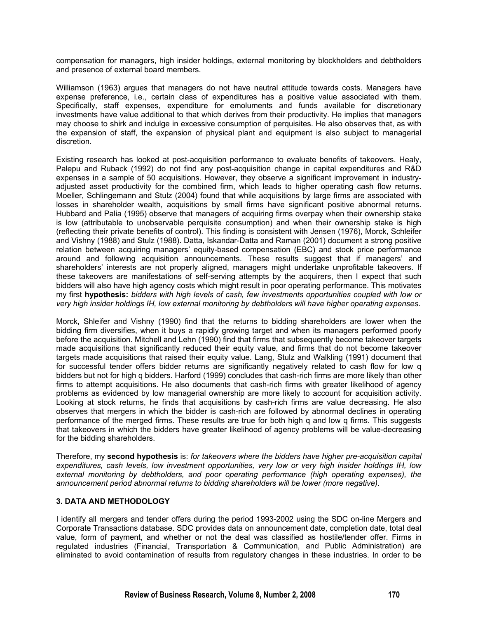compensation for managers, high insider holdings, external monitoring by blockholders and debtholders and presence of external board members.

Williamson (1963) argues that managers do not have neutral attitude towards costs. Managers have expense preference, i.e., certain class of expenditures has a positive value associated with them. Specifically, staff expenses, expenditure for emoluments and funds available for discretionary investments have value additional to that which derives from their productivity. He implies that managers may choose to shirk and indulge in excessive consumption of perquisites. He also observes that, as with the expansion of staff, the expansion of physical plant and equipment is also subject to managerial discretion.

Existing research has looked at post-acquisition performance to evaluate benefits of takeovers. Healy, Palepu and Ruback (1992) do not find any post-acquisition change in capital expenditures and R&D expenses in a sample of 50 acquisitions. However, they observe a significant improvement in industryadjusted asset productivity for the combined firm, which leads to higher operating cash flow returns. Moeller, Schlingemann and Stulz (2004) found that while acquisitions by large firms are associated with losses in shareholder wealth, acquisitions by small firms have significant positive abnormal returns. Hubbard and Palia (1995) observe that managers of acquiring firms overpay when their ownership stake is low (attributable to unobservable perquisite consumption) and when their ownership stake is high (reflecting their private benefits of control). This finding is consistent with Jensen (1976), Morck, Schleifer and Vishny (1988) and Stulz (1988). Datta, Iskandar-Datta and Raman (2001) document a strong positive relation between acquiring managers' equity-based compensation (EBC) and stock price performance around and following acquisition announcements. These results suggest that if managers' and shareholders' interests are not properly aligned, managers might undertake unprofitable takeovers. If these takeovers are manifestations of self-serving attempts by the acquirers, then I expect that such bidders will also have high agency costs which might result in poor operating performance. This motivates my first **hypothesis:** *bidders with high levels of cash, few investments opportunities coupled with low or very high insider holdings IH, low external monitoring by debtholders will have higher operating expenses*.

Morck, Shleifer and Vishny (1990) find that the returns to bidding shareholders are lower when the bidding firm diversifies, when it buys a rapidly growing target and when its managers performed poorly before the acquisition. Mitchell and Lehn (1990) find that firms that subsequently become takeover targets made acquisitions that significantly reduced their equity value, and firms that do not become takeover targets made acquisitions that raised their equity value. Lang, Stulz and Walkling (1991) document that for successful tender offers bidder returns are significantly negatively related to cash flow for low q bidders but not for high q bidders. Harford (1999) concludes that cash-rich firms are more likely than other firms to attempt acquisitions. He also documents that cash-rich firms with greater likelihood of agency problems as evidenced by low managerial ownership are more likely to account for acquisition activity. Looking at stock returns, he finds that acquisitions by cash-rich firms are value decreasing. He also observes that mergers in which the bidder is cash-rich are followed by abnormal declines in operating performance of the merged firms. These results are true for both high q and low q firms. This suggests that takeovers in which the bidders have greater likelihood of agency problems will be value-decreasing for the bidding shareholders.

Therefore, my **second hypothesis** is: *for takeovers where the bidders have higher pre-acquisition capital expenditures, cash levels, low investment opportunities, very low or very high insider holdings IH, low external monitoring by debtholders, and poor operating performance (high operating expenses), the announcement period abnormal returns to bidding shareholders will be lower (more negative).* 

#### **3. DATA AND METHODOLOGY**

I identify all mergers and tender offers during the period 1993-2002 using the SDC on-line Mergers and Corporate Transactions database. SDC provides data on announcement date, completion date, total deal value, form of payment, and whether or not the deal was classified as hostile/tender offer. Firms in regulated industries (Financial, Transportation & Communication, and Public Administration) are eliminated to avoid contamination of results from regulatory changes in these industries. In order to be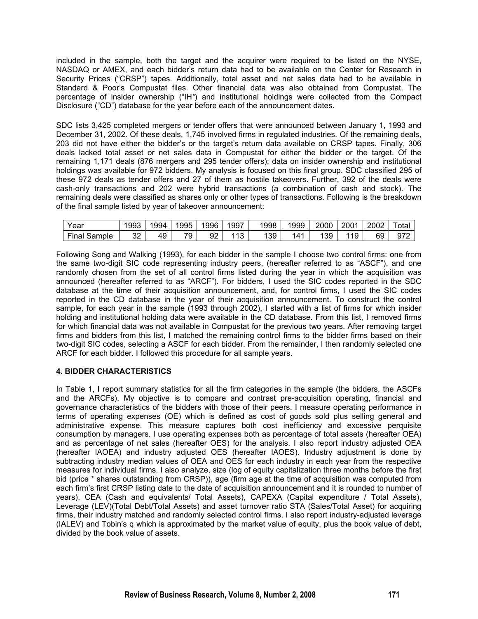included in the sample, both the target and the acquirer were required to be listed on the NYSE, NASDAQ or AMEX, and each bidder's return data had to be available on the Center for Research in Security Prices ("CRSP") tapes. Additionally, total asset and net sales data had to be available in Standard & Poor's Compustat files. Other financial data was also obtained from Compustat. The percentage of insider ownership ("IH*"*) and institutional holdings were collected from the Compact Disclosure ("CD") database for the year before each of the announcement dates.

SDC lists 3,425 completed mergers or tender offers that were announced between January 1, 1993 and December 31, 2002. Of these deals, 1,745 involved firms in regulated industries. Of the remaining deals, 203 did not have either the bidder's or the target's return data available on CRSP tapes. Finally, 306 deals lacked total asset or net sales data in Compustat for either the bidder or the target. Of the remaining 1,171 deals (876 mergers and 295 tender offers); data on insider ownership and institutional holdings was available for 972 bidders. My analysis is focused on this final group. SDC classified 295 of these 972 deals as tender offers and 27 of them as hostile takeovers. Further, 392 of the deals were cash-only transactions and 202 were hybrid transactions (a combination of cash and stock). The remaining deals were classified as shares only or other types of transactions. Following is the breakdown of the final sample listed by year of takeover announcement:

| Year            | 1993     | 1994 | 1995    | 1996 | 1997         | 1998 | 1999            | 2000 | 2001 | 2002 | ota |
|-----------------|----------|------|---------|------|--------------|------|-----------------|------|------|------|-----|
| Final<br>Sample | າາ<br>ےت | 49   | 70<br>ັ | 92   | $\sim$<br>۱и | 139  | 14 <sup>1</sup> | 39   | 19   | 69   | 972 |

Following Song and Walking (1993), for each bidder in the sample I choose two control firms: one from the same two-digit SIC code representing industry peers, (hereafter referred to as "ASCF"), and one randomly chosen from the set of all control firms listed during the year in which the acquisition was announced (hereafter referred to as "ARCF"). For bidders, I used the SIC codes reported in the SDC database at the time of their acquisition announcement, and, for control firms, I used the SIC codes reported in the CD database in the year of their acquisition announcement. To construct the control sample, for each year in the sample (1993 through 2002), I started with a list of firms for which insider holding and institutional holding data were available in the CD database. From this list, I removed firms for which financial data was not available in Compustat for the previous two years. After removing target firms and bidders from this list, I matched the remaining control firms to the bidder firms based on their two-digit SIC codes, selecting a ASCF for each bidder. From the remainder, I then randomly selected one ARCF for each bidder. I followed this procedure for all sample years.

### **4. BIDDER CHARACTERISTICS**

In Table 1, I report summary statistics for all the firm categories in the sample (the bidders, the ASCFs and the ARCFs). My objective is to compare and contrast pre-acquisition operating, financial and governance characteristics of the bidders with those of their peers. I measure operating performance in terms of operating expenses (OE) which is defined as cost of goods sold plus selling general and administrative expense. This measure captures both cost inefficiency and excessive perquisite consumption by managers. I use operating expenses both as percentage of total assets (hereafter OEA) and as percentage of net sales (hereafter OES) for the analysis. I also report industry adjusted OEA (hereafter IAOEA) and industry adjusted OES (hereafter IAOES). Industry adjustment is done by subtracting industry median values of OEA and OES for each industry in each year from the respective measures for individual firms. I also analyze, size (log of equity capitalization three months before the first bid (price \* shares outstanding from CRSP)), age (firm age at the time of acquisition was computed from each firm's first CRSP listing date to the date of acquisition announcement and it is rounded to number of years), CEA (Cash and equivalents/ Total Assets), CAPEXA (Capital expenditure / Total Assets), Leverage (LEV)(Total Debt/Total Assets) and asset turnover ratio STA (Sales/Total Asset) for acquiring firms, their industry matched and randomly selected control firms. I also report industry-adjusted leverage (IALEV) and Tobin's q which is approximated by the market value of equity, plus the book value of debt, divided by the book value of assets.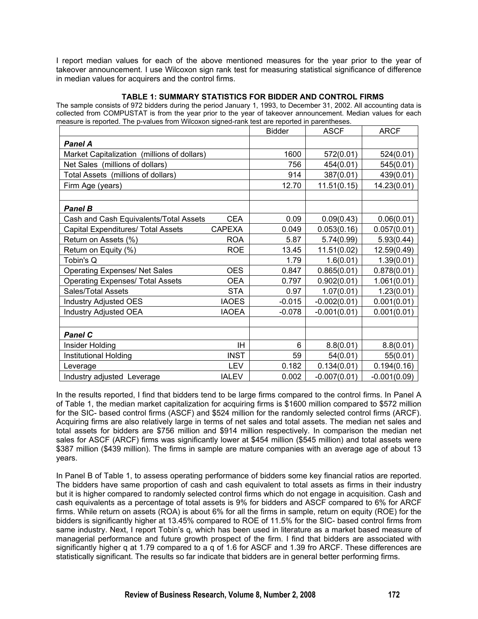I report median values for each of the above mentioned measures for the year prior to the year of takeover announcement. I use Wilcoxon sign rank test for measuring statistical significance of difference in median values for acquirers and the control firms.

#### **TABLE 1: SUMMARY STATISTICS FOR BIDDER AND CONTROL FIRMS**

The sample consists of 972 bidders during the period January 1, 1993, to December 31, 2002. All accounting data is collected from COMPUSTAT is from the year prior to the year of takeover announcement. Median values for each measure is reported. The p-values from Wilcoxon signed-rank test are reported in parentheses.

|                                             |               | <b>Bidder</b> | <b>ASCF</b>    | <b>ARCF</b>    |
|---------------------------------------------|---------------|---------------|----------------|----------------|
| <b>Panel A</b>                              |               |               |                |                |
| Market Capitalization (millions of dollars) |               | 1600          | 572(0.01)      | 524(0.01)      |
| Net Sales (millions of dollars)             |               | 756           | 454(0.01)      | 545(0.01)      |
| Total Assets (millions of dollars)          |               | 914           | 387(0.01)      | 439(0.01)      |
| Firm Age (years)                            |               | 12.70         | 11.51(0.15)    | 14.23(0.01)    |
|                                             |               |               |                |                |
| <b>Panel B</b>                              |               |               |                |                |
| Cash and Cash Equivalents/Total Assets      | <b>CEA</b>    | 0.09          | 0.09(0.43)     | 0.06(0.01)     |
| Capital Expenditures/ Total Assets          | <b>CAPEXA</b> | 0.049         | 0.053(0.16)    | 0.057(0.01)    |
| Return on Assets (%)                        | <b>ROA</b>    | 5.87          | 5.74(0.99)     | 5.93(0.44)     |
| Return on Equity (%)                        | <b>ROE</b>    | 13.45         | 11.51(0.02)    | 12.59(0.49)    |
| Tobin's Q                                   |               | 1.79          | 1.6(0.01)      | 1.39(0.01)     |
| <b>Operating Expenses/ Net Sales</b>        | <b>OES</b>    | 0.847         | 0.865(0.01)    | 0.878(0.01)    |
| <b>Operating Expenses/ Total Assets</b>     | <b>OEA</b>    | 0.797         | 0.902(0.01)    | 1.061(0.01)    |
| Sales/Total Assets                          | <b>STA</b>    | 0.97          | 1.07(0.01)     | 1.23(0.01)     |
| <b>Industry Adjusted OES</b>                | <b>IAOES</b>  | $-0.015$      | $-0.002(0.01)$ | 0.001(0.01)    |
| <b>Industry Adjusted OEA</b>                | <b>IAOEA</b>  | $-0.078$      | $-0.001(0.01)$ | 0.001(0.01)    |
|                                             |               |               |                |                |
| <b>Panel C</b>                              |               |               |                |                |
| Insider Holding                             | ΙH            | 6             | 8.8(0.01)      | 8.8(0.01)      |
| Institutional Holding                       | <b>INST</b>   | 59            | 54(0.01)       | 55(0.01)       |
| Leverage                                    | <b>LEV</b>    | 0.182         | 0.134(0.01)    | 0.194(0.16)    |
| Industry adjusted Leverage                  | <b>IALEV</b>  | 0.002         | $-0.007(0.01)$ | $-0.001(0.09)$ |

In the results reported, I find that bidders tend to be large firms compared to the control firms. In Panel A of Table 1, the median market capitalization for acquiring firms is \$1600 million compared to \$572 million for the SIC- based control firms (ASCF) and \$524 million for the randomly selected control firms (ARCF). Acquiring firms are also relatively large in terms of net sales and total assets. The median net sales and total assets for bidders are \$756 million and \$914 million respectively. In comparison the median net sales for ASCF (ARCF) firms was significantly lower at \$454 million (\$545 million) and total assets were \$387 million (\$439 million). The firms in sample are mature companies with an average age of about 13 years.

In Panel B of Table 1, to assess operating performance of bidders some key financial ratios are reported. The bidders have same proportion of cash and cash equivalent to total assets as firms in their industry but it is higher compared to randomly selected control firms which do not engage in acquisition. Cash and cash equivalents as a percentage of total assets is 9% for bidders and ASCF compared to 6% for ARCF firms. While return on assets (ROA) is about 6% for all the firms in sample, return on equity (ROE) for the bidders is significantly higher at 13.45% compared to ROE of 11.5% for the SIC- based control firms from same industry. Next, I report Tobin's q, which has been used in literature as a market based measure of managerial performance and future growth prospect of the firm. I find that bidders are associated with significantly higher q at 1.79 compared to a q of 1.6 for ASCF and 1.39 fro ARCF. These differences are statistically significant. The results so far indicate that bidders are in general better performing firms.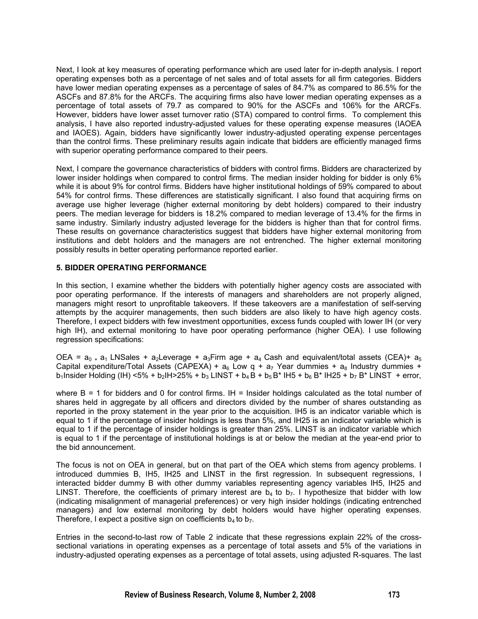Next, I look at key measures of operating performance which are used later for in-depth analysis. I report operating expenses both as a percentage of net sales and of total assets for all firm categories. Bidders have lower median operating expenses as a percentage of sales of 84.7% as compared to 86.5% for the ASCFs and 87.8% for the ARCFs. The acquiring firms also have lower median operating expenses as a percentage of total assets of 79.7 as compared to 90% for the ASCFs and 106% for the ARCFs. However, bidders have lower asset turnover ratio (STA) compared to control firms. To complement this analysis, I have also reported industry-adjusted values for these operating expense measures (IAOEA and IAOES). Again, bidders have significantly lower industry-adjusted operating expense percentages than the control firms. These preliminary results again indicate that bidders are efficiently managed firms with superior operating performance compared to their peers.

Next, I compare the governance characteristics of bidders with control firms. Bidders are characterized by lower insider holdings when compared to control firms. The median insider holding for bidder is only 6% while it is about 9% for control firms. Bidders have higher institutional holdings of 59% compared to about 54% for control firms. These differences are statistically significant. I also found that acquiring firms on average use higher leverage (higher external monitoring by debt holders) compared to their industry peers. The median leverage for bidders is 18.2% compared to median leverage of 13.4% for the firms in same industry. Similarly industry adjusted leverage for the bidders is higher than that for control firms. These results on governance characteristics suggest that bidders have higher external monitoring from institutions and debt holders and the managers are not entrenched. The higher external monitoring possibly results in better operating performance reported earlier.

#### **5. BIDDER OPERATING PERFORMANCE**

In this section, I examine whether the bidders with potentially higher agency costs are associated with poor operating performance. If the interests of managers and shareholders are not properly aligned, managers might resort to unprofitable takeovers. If these takeovers are a manifestation of self-serving attempts by the acquirer managements, then such bidders are also likely to have high agency costs. Therefore, I expect bidders with few investment opportunities, excess funds coupled with lower IH (or very high IH), and external monitoring to have poor operating performance (higher OEA). I use following regression specifications:

OEA =  $a_0$  +  $a_1$  LNSales +  $a_2$ Leverage +  $a_3$ Firm age +  $a_4$  Cash and equivalent/total assets (CEA)+  $a_5$ Capital expenditure/Total Assets (CAPEXA) +  $a_6$  Low q +  $a_7$  Year dummies +  $a_8$  Industry dummies + b<sub>1</sub>Insider Holding (IH) <5% + b<sub>2</sub>IH>25% + b<sub>3</sub> LINST + b<sub>4</sub> B + b<sub>5</sub> B<sup>\*</sup> IH5 + b<sub>6</sub> B<sup>\*</sup> IH25 + b<sub>7</sub> B<sup>\*</sup> LINST + error,

where  $B = 1$  for bidders and 0 for control firms. IH = Insider holdings calculated as the total number of shares held in aggregate by all officers and directors divided by the number of shares outstanding as reported in the proxy statement in the year prior to the acquisition. IH5 is an indicator variable which is equal to 1 if the percentage of insider holdings is less than 5%, and IH25 is an indicator variable which is equal to 1 if the percentage of insider holdings is greater than 25%. LINST is an indicator variable which is equal to 1 if the percentage of institutional holdings is at or below the median at the year-end prior to the bid announcement.

The focus is not on OEA in general, but on that part of the OEA which stems from agency problems. I introduced dummies B, IH5, IH25 and LINST in the first regression. In subsequent regressions, I interacted bidder dummy B with other dummy variables representing agency variables IH5, IH25 and LINST. Therefore, the coefficients of primary interest are  $b_4$  to  $b_7$ . I hypothesize that bidder with low (indicating misalignment of managerial preferences) or very high insider holdings (indicating entrenched managers) and low external monitoring by debt holders would have higher operating expenses. Therefore, I expect a positive sign on coefficients  $b_4$  to  $b_7$ .

Entries in the second-to-last row of Table 2 indicate that these regressions explain 22% of the crosssectional variations in operating expenses as a percentage of total assets and 5% of the variations in industry-adjusted operating expenses as a percentage of total assets, using adjusted R-squares. The last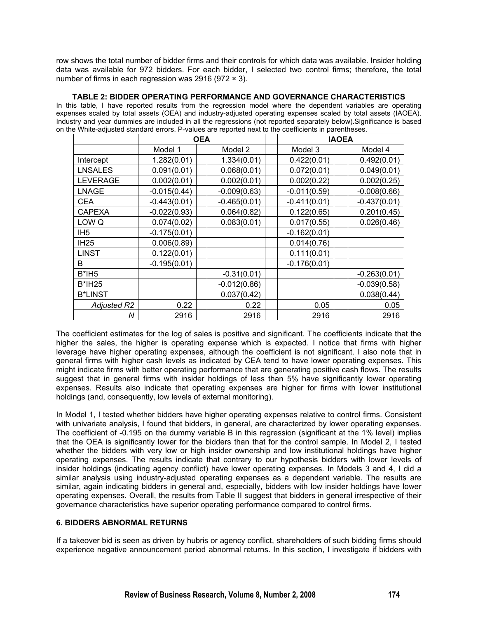row shows the total number of bidder firms and their controls for which data was available. Insider holding data was available for 972 bidders. For each bidder, I selected two control firms; therefore, the total number of firms in each regression was 2916 (972  $\times$  3).

#### **TABLE 2: BIDDER OPERATING PERFORMANCE AND GOVERNANCE CHARACTERISTICS**

In this table, I have reported results from the regression model where the dependent variables are operating expenses scaled by total assets (OEA) and industry-adjusted operating expenses scaled by total assets (IAOEA). Industry and year dummies are included in all the regressions (not reported separately below).Significance is based on the White-adjusted standard errors. P-values are reported next to the coefficients in parentheses.

|                    | <b>OEA</b>     |                |                | <b>IAOEA</b>   |
|--------------------|----------------|----------------|----------------|----------------|
|                    | Model 1        | Model 2        | Model 3        | Model 4        |
| Intercept          | 1.282(0.01)    | 1.334(0.01)    | 0.422(0.01)    | 0.492(0.01)    |
| <b>LNSALES</b>     | 0.091(0.01)    | 0.068(0.01)    | 0.072(0.01)    | 0.049(0.01)    |
| <b>LEVERAGE</b>    | 0.002(0.01)    | 0.002(0.01)    | 0.002(0.22)    | 0.002(0.25)    |
| <b>LNAGE</b>       | $-0.015(0.44)$ | $-0.009(0.63)$ | $-0.011(0.59)$ | $-0.008(0.66)$ |
| <b>CEA</b>         | $-0.443(0.01)$ | $-0.465(0.01)$ | $-0.411(0.01)$ | $-0.437(0.01)$ |
| <b>CAPEXA</b>      | $-0.022(0.93)$ | 0.064(0.82)    | 0.122(0.65)    | 0.201(0.45)    |
| LOW <sub>Q</sub>   | 0.074(0.02)    | 0.083(0.01)    | 0.017(0.55)    | 0.026(0.46)    |
| IH <sub>5</sub>    | $-0.175(0.01)$ |                | $-0.162(0.01)$ |                |
| <b>IH25</b>        | 0.006(0.89)    |                | 0.014(0.76)    |                |
| <b>LINST</b>       | 0.122(0.01)    |                | 0.111(0.01)    |                |
| B                  | $-0.195(0.01)$ |                | $-0.176(0.01)$ |                |
| $B*IH5$            |                | $-0.31(0.01)$  |                | $-0.263(0.01)$ |
| <b>B*IH25</b>      |                | $-0.012(0.86)$ |                | $-0.039(0.58)$ |
| <b>B*LINST</b>     |                | 0.037(0.42)    |                | 0.038(0.44)    |
| <b>Adjusted R2</b> | 0.22           | 0.22           | 0.05           | 0.05           |
| N                  | 2916           | 2916           | 2916           | 2916           |

The coefficient estimates for the log of sales is positive and significant. The coefficients indicate that the higher the sales, the higher is operating expense which is expected. I notice that firms with higher leverage have higher operating expenses, although the coefficient is not significant. I also note that in general firms with higher cash levels as indicated by CEA tend to have lower operating expenses. This might indicate firms with better operating performance that are generating positive cash flows. The results suggest that in general firms with insider holdings of less than 5% have significantly lower operating expenses. Results also indicate that operating expenses are higher for firms with lower institutional holdings (and, consequently, low levels of external monitoring).

In Model 1, I tested whether bidders have higher operating expenses relative to control firms. Consistent with univariate analysis, I found that bidders, in general, are characterized by lower operating expenses. The coefficient of -0.195 on the dummy variable B in this regression (significant at the 1% level) implies that the OEA is significantly lower for the bidders than that for the control sample. In Model 2, I tested whether the bidders with very low or high insider ownership and low institutional holdings have higher operating expenses. The results indicate that contrary to our hypothesis bidders with lower levels of insider holdings (indicating agency conflict) have lower operating expenses. In Models 3 and 4, I did a similar analysis using industry-adjusted operating expenses as a dependent variable. The results are similar, again indicating bidders in general and, especially, bidders with low insider holdings have lower operating expenses. Overall, the results from Table II suggest that bidders in general irrespective of their governance characteristics have superior operating performance compared to control firms.

#### **6. BIDDERS ABNORMAL RETURNS**

If a takeover bid is seen as driven by hubris or agency conflict, shareholders of such bidding firms should experience negative announcement period abnormal returns. In this section, I investigate if bidders with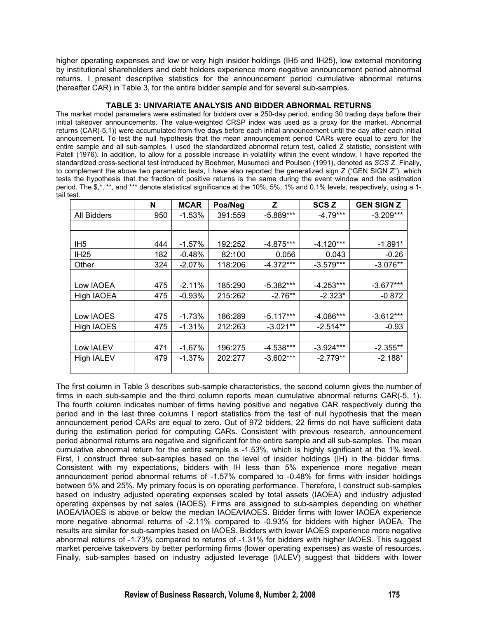higher operating expenses and low or very high insider holdings (IH5 and IH25), low external monitoring by institutional shareholders and debt holders experience more negative announcement period abnormal returns. I present descriptive statistics for the announcement period cumulative abnormal returns (hereafter CAR) in Table 3, for the entire bidder sample and for several sub-samples.

#### **TABLE 3: UNIVARIATE ANALYSIS AND BIDDER ABNORMAL RETURNS**

The market model parameters were estimated for bidders over a 250-day period, ending 30 trading days before their initial takeover announcements. The value-weighted CRSP index was used as a proxy for the market. Abnormal returns (CAR(-5,1)) were accumulated from five days before each initial announcement until the day after each initial announcement. To test the null hypothesis that the mean announcement period CARs were equal to zero for the entire sample and all sub-samples, I used the standardized abnormal return test, called Z statistic, consistent with Patell (1976). In addition, to allow for a possible increase in volatility within the event window, I have reported the standardized cross-sectional test introduced by Boehmer, Musumeci and Poulsen (1991), denoted as *SCS Z*. Finally, to complement the above two parametric tests, I have also reported the generalized sign Z ("GEN SIGN Z"), which tests the hypothesis that the fraction of positive returns is the same during the event window and the estimation period. The \$,\*, \*\*, and \*\*\* denote statistical significance at the 10%, 5%, 1% and 0.1% levels, respectively, using a 1tail test.

|                   | N   | <b>MCAR</b> | Pos/Neg | z           | <b>SCSZ</b> | <b>GEN SIGN Z</b> |
|-------------------|-----|-------------|---------|-------------|-------------|-------------------|
| All Bidders       | 950 | $-1.53%$    | 391:559 | $-5.889***$ | $-4.79***$  | $-3.209***$       |
|                   |     |             |         |             |             |                   |
|                   |     |             |         |             |             |                   |
| IH <sub>5</sub>   | 444 | $-1.57\%$   | 192:252 | $-4.875***$ | $-4.120***$ | $-1.891*$         |
| <b>IH25</b>       | 182 | $-0.48%$    | 82:100  | 0.056       | 0.043       | $-0.26$           |
| Other             | 324 | $-2.07\%$   | 118:206 | $-4.372***$ | $-3.579***$ | $-3.076**$        |
|                   |     |             |         |             |             |                   |
| Low IAOEA         | 475 | $-2.11%$    | 185:290 | $-5.382***$ | $-4.253***$ | $-3.677***$       |
| High IAOEA        | 475 | $-0.93%$    | 215:262 | $-2.76**$   | $-2.323*$   | $-0.872$          |
|                   |     |             |         |             |             |                   |
| Low IAOES         | 475 | $-1.73%$    | 186:289 | $-5.117***$ | $-4.086***$ | $-3.612***$       |
| <b>High IAOES</b> | 475 | $-1.31%$    | 212:263 | $-3.021**$  | $-2.514**$  | $-0.93$           |
|                   |     |             |         |             |             |                   |
| Low IALEV         | 471 | $-1.67%$    | 196:275 | $-4.538***$ | $-3.924***$ | $-2.355**$        |
| <b>High IALEV</b> | 479 | -1.37%      | 202:277 | $-3.602***$ | $-2.779**$  | $-2.188*$         |
|                   |     |             |         |             |             |                   |

The first column in Table 3 describes sub-sample characteristics, the second column gives the number of firms in each sub-sample and the third column reports mean cumulative abnormal returns CAR(-5, 1). The fourth column indicates number of firms having positive and negative CAR respectively during the period and in the last three columns I report statistics from the test of null hypothesis that the mean announcement period CARs are equal to zero. Out of 972 bidders, 22 firms do not have sufficient data during the estimation period for computing CARs. Consistent with previous research, announcement period abnormal returns are negative and significant for the entire sample and all sub-samples. The mean cumulative abnormal return for the entire sample is -1.53%, which is highly significant at the 1% level. First, I construct three sub-samples based on the level of insider holdings (IH) in the bidder firms. Consistent with my expectations, bidders with IH less than 5% experience more negative mean announcement period abnormal returns of -1.57% compared to -0.48% for firms with insider holdings between 5% and 25%. My primary focus is on operating performance. Therefore, I construct sub-samples based on industry adjusted operating expenses scaled by total assets (IAOEA) and industry adjusted operating expenses by net sales (IAOES). Firms are assigned to sub-samples depending on whether IAOEA/IAOES is above or below the median IAOEA/IAOES. Bidder firms with lower IAOEA experience more negative abnormal returns of -2.11% compared to -0.93% for bidders with higher IAOEA. The results are similar for sub-samples based on IAOES. Bidders with lower IAOES experience more negative abnormal returns of -1.73% compared to returns of -1.31% for bidders with higher IAOES. This suggest market perceive takeovers by better performing firms (lower operating expenses) as waste of resources. Finally, sub-samples based on industry adjusted leverage (IALEV) suggest that bidders with lower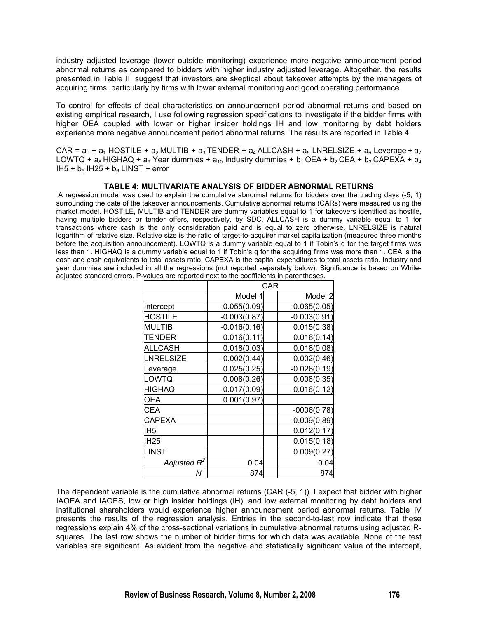industry adjusted leverage (lower outside monitoring) experience more negative announcement period abnormal returns as compared to bidders with higher industry adjusted leverage. Altogether, the results presented in Table III suggest that investors are skeptical about takeover attempts by the managers of acquiring firms, particularly by firms with lower external monitoring and good operating performance.

To control for effects of deal characteristics on announcement period abnormal returns and based on existing empirical research, I use following regression specifications to investigate if the bidder firms with higher OEA coupled with lower or higher insider holdings IH and low monitoring by debt holders experience more negative announcement period abnormal returns. The results are reported in Table 4.

CAR =  $a_0$  +  $a_1$  HOSTILE +  $a_2$  MULTIB +  $a_3$  TENDER +  $a_4$  ALLCASH +  $a_5$  LNRELSIZE +  $a_6$  Leverage +  $a_7$ LOWTQ +  $a_8$  HIGHAQ +  $a_9$  Year dummies +  $a_{10}$  Industry dummies +  $b_1$  OEA +  $b_2$  CEA +  $b_3$  CAPEXA +  $b_4$  $I$ H5 +  $b_5$  IH25 +  $b_6$  LINST + error

#### **TABLE 4: MULTIVARIATE ANALYSIS OF BIDDER ABNORMAL RETURNS**

A regression model was used to explain the cumulative abnormal returns for bidders over the trading days (-5, 1) surrounding the date of the takeover announcements. Cumulative abnormal returns (CARs) were measured using the market model. HOSTILE, MULTIB and TENDER are dummy variables equal to 1 for takeovers identified as hostile, having multiple bidders or tender offers, respectively, by SDC. ALLCASH is a dummy variable equal to 1 for transactions where cash is the only consideration paid and is equal to zero otherwise. LNRELSIZE is natural logarithm of relative size. Relative size is the ratio of target-to-acquirer market capitalization (measured three months before the acquisition announcement). LOWTQ is a dummy variable equal to 1 if Tobin's q for the target firms was less than 1. HIGHAQ is a dummy variable equal to 1 if Tobin's q for the acquiring firms was more than 1. CEA is the cash and cash equivalents to total assets ratio. CAPEXA is the capital expenditures to total assets ratio. Industry and year dummies are included in all the regressions (not reported separately below). Significance is based on Whiteadjusted standard errors. P-values are reported next to the coefficients in parentheses.

|                  | CAR            |  |                |  |  |
|------------------|----------------|--|----------------|--|--|
|                  | Model 1        |  | Model 2        |  |  |
| Intercept        | $-0.055(0.09)$ |  | $-0.065(0.05)$ |  |  |
| <b>HOSTILE</b>   | $-0.003(0.87)$ |  | $-0.003(0.91)$ |  |  |
| <b>MULTIB</b>    | $-0.016(0.16)$ |  | 0.015(0.38)    |  |  |
| TENDER           | 0.016(0.11)    |  | 0.016(0.14)    |  |  |
| <b>ALLCASH</b>   | 0.018(0.03)    |  | 0.018(0.08)    |  |  |
| <b>NRELSIZE</b>  | $-0.002(0.44)$ |  | $-0.002(0.46)$ |  |  |
| Leverage         | 0.025(0.25)    |  | $-0.026(0.19)$ |  |  |
| LOWTQ            | 0.008(0.26)    |  | 0.008(0.35)    |  |  |
| <b>HIGHAQ</b>    | $-0.017(0.09)$ |  | $-0.016(0.12)$ |  |  |
| OEA              | 0.001(0.97)    |  |                |  |  |
| <b>CEA</b>       |                |  | $-0006(0.78)$  |  |  |
| CAPEXA           |                |  | $-0.009(0.89)$ |  |  |
| IH <sub>5</sub>  |                |  | 0.012(0.17)    |  |  |
| IH <sub>25</sub> |                |  | 0.015(0.18)    |  |  |
| <b>LINST</b>     |                |  | 0.009(0.27)    |  |  |
| Adjusted $R^2$   | 0.04           |  | 0.04           |  |  |
| Ν                | 874            |  | 874            |  |  |

The dependent variable is the cumulative abnormal returns (CAR (-5, 1)). I expect that bidder with higher IAOEA and IAOES, low or high insider holdings (IH), and low external monitoring by debt holders and institutional shareholders would experience higher announcement period abnormal returns. Table IV presents the results of the regression analysis. Entries in the second-to-last row indicate that these regressions explain 4% of the cross-sectional variations in cumulative abnormal returns using adjusted Rsquares. The last row shows the number of bidder firms for which data was available. None of the test variables are significant. As evident from the negative and statistically significant value of the intercept,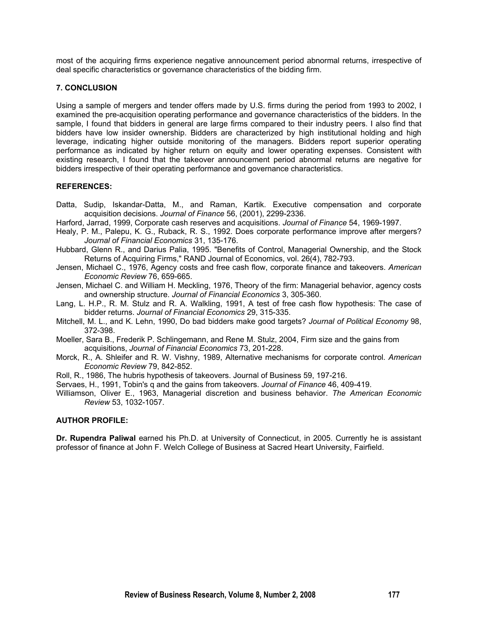most of the acquiring firms experience negative announcement period abnormal returns, irrespective of deal specific characteristics or governance characteristics of the bidding firm.

#### **7. CONCLUSION**

Using a sample of mergers and tender offers made by U.S. firms during the period from 1993 to 2002, I examined the pre-acquisition operating performance and governance characteristics of the bidders. In the sample, I found that bidders in general are large firms compared to their industry peers. I also find that bidders have low insider ownership. Bidders are characterized by high institutional holding and high leverage, indicating higher outside monitoring of the managers. Bidders report superior operating performance as indicated by higher return on equity and lower operating expenses. Consistent with existing research, I found that the takeover announcement period abnormal returns are negative for bidders irrespective of their operating performance and governance characteristics.

#### **REFERENCES:**

- Datta, Sudip, Iskandar-Datta, M., and Raman, Kartik. Executive compensation and corporate acquisition decisions. *Journal of Finance* 56, (2001), 2299-2336.
- Harford, Jarrad, 1999, Corporate cash reserves and acquisitions. *Journal of Finance* 54, 1969-1997.
- Healy, P. M., Palepu, K. G., Ruback, R. S., 1992. Does corporate performance improve after mergers? *Journal of Financial Economics* 31, 135-176.
- Hubbard, Glenn R., and Darius Palia, 1995. "Benefits of Control, Managerial Ownership, and the Stock Returns of Acquiring Firms," RAND Journal of Economics, vol. 26(4), 782-793.
- Jensen, Michael C., 1976, Agency costs and free cash flow, corporate finance and takeovers. *American Economic Review* 76, 659-665.
- Jensen, Michael C. and William H. Meckling, 1976, Theory of the firm: Managerial behavior, agency costs and ownership structure. *Journal of Financial Economics* 3, 305-360.
- Lang, L. H.P., R. M. Stulz and R. A. Walkling, 1991, A test of free cash flow hypothesis: The case of bidder returns. *Journal of Financial Economics* 29, 315-335.
- Mitchell, M. L., and K. Lehn, 1990, Do bad bidders make good targets? *Journal of Political Economy* 98, 372-398.
- Moeller, Sara B., Frederik P. Schlingemann, and Rene M. Stulz, 2004, Firm size and the gains from acquisitions, *Journal of Financial Economics* 73, 201-228.
- Morck, R., A. Shleifer and R. W. Vishny, 1989, Alternative mechanisms for corporate control. *American Economic Review* 79, 842-852.
- Roll, R., 1986, The hubris hypothesis of takeovers. Journal of Business 59, 197-216.
- Servaes, H., 1991, Tobin's q and the gains from takeovers. *Journal of Finance* 46, 409-419.
- Williamson, Oliver E., 1963, Managerial discretion and business behavior. *The American Economic Review* 53, 1032-1057.

#### **AUTHOR PROFILE:**

**Dr. Rupendra Paliwal** earned his Ph.D. at University of Connecticut, in 2005. Currently he is assistant professor of finance at John F. Welch College of Business at Sacred Heart University, Fairfield.